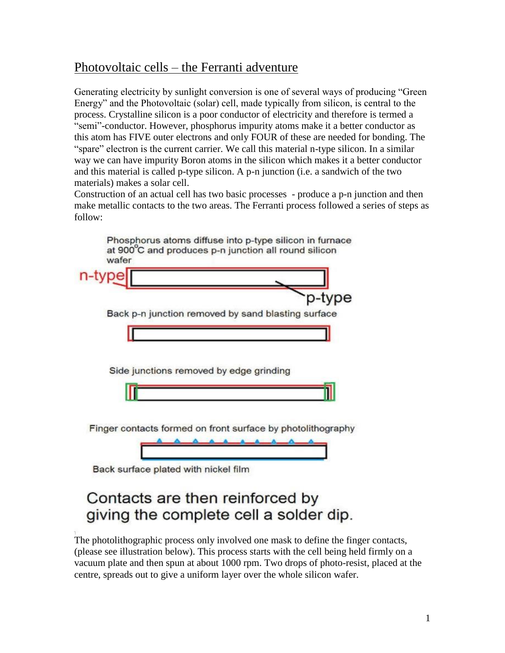## Photovoltaic cells – the Ferranti adventure

Generating electricity by sunlight conversion is one of several ways of producing "Green Energy" and the Photovoltaic (solar) cell, made typically from silicon, is central to the process. Crystalline silicon is a poor conductor of electricity and therefore is termed a "semi"-conductor. However, phosphorus impurity atoms make it a better conductor as this atom has FIVE outer electrons and only FOUR of these are needed for bonding. The "spare" electron is the current carrier. We call this material n-type silicon. In a similar way we can have impurity Boron atoms in the silicon which makes it a better conductor and this material is called p-type silicon. A p-n junction (i.e. a sandwich of the two materials) makes a solar cell.

Construction of an actual cell has two basic processes - produce a p-n junction and then make metallic contacts to the two areas. The Ferranti process followed a series of steps as follow:

|                                                             | pe |
|-------------------------------------------------------------|----|
| Back p-n junction removed by sand blasting surface          |    |
|                                                             |    |
|                                                             |    |
|                                                             |    |
| Side junctions removed by edge grinding                     |    |
|                                                             |    |
|                                                             |    |
|                                                             |    |
| Finger contacts formed on front surface by photolithography |    |

Back surface plated with hickel film

# Contacts are then reinforced by giving the complete cell a solder dip.

The photolithographic process only involved one mask to define the finger contacts, (please see illustration below). This process starts with the cell being held firmly on a vacuum plate and then spun at about 1000 rpm. Two drops of photo-resist, placed at the centre, spreads out to give a uniform layer over the whole silicon wafer.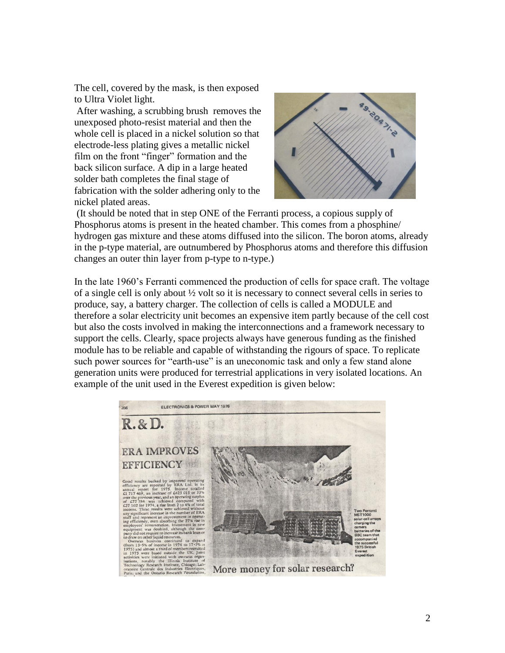The cell, covered by the mask, is then exposed to Ultra Violet light.

After washing, a scrubbing brush removes the unexposed photo-resist material and then the whole cell is placed in a nickel solution so that electrode-less plating gives a metallic nickel film on the front "finger" formation and the back silicon surface. A dip in a large heated solder bath completes the final stage of fabrication with the solder adhering only to the nickel plated areas.



(It should be noted that in step ONE of the Ferranti process, a copious supply of Phosphorus atoms is present in the heated chamber. This comes from a phosphine/ hydrogen gas mixture and these atoms diffused into the silicon. The boron atoms, already in the p-type material, are outnumbered by Phosphorus atoms and therefore this diffusion changes an outer thin layer from p-type to n-type.)

In the late 1960's Ferranti commenced the production of cells for space craft. The voltage of a single cell is only about  $\frac{1}{2}$  volt so it is necessary to connect several cells in series to produce, say, a battery charger. The collection of cells is called a MODULE and therefore a solar electricity unit becomes an expensive item partly because of the cell cost but also the costs involved in making the interconnections and a framework necessary to support the cells. Clearly, space projects always have generous funding as the finished module has to be reliable and capable of withstanding the rigours of space. To replicate such power sources for "earth-use" is an uneconomic task and only a few stand alone generation units were produced for terrestrial applications in very isolated locations. An example of the unit used in the Everest expedition is given below:

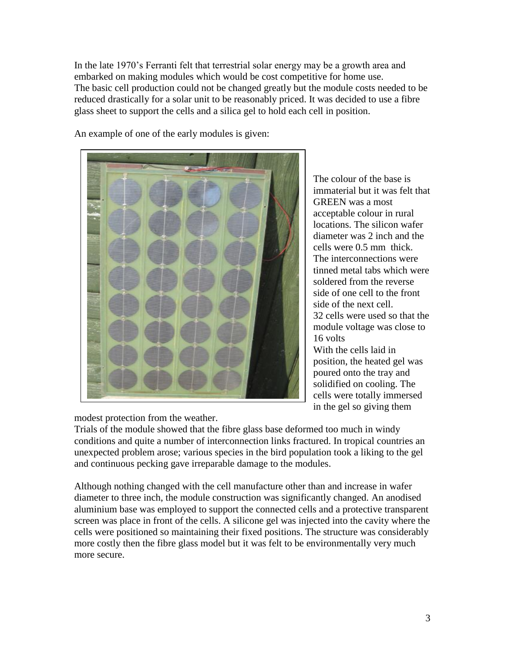In the late 1970's Ferranti felt that terrestrial solar energy may be a growth area and embarked on making modules which would be cost competitive for home use. The basic cell production could not be changed greatly but the module costs needed to be reduced drastically for a solar unit to be reasonably priced. It was decided to use a fibre glass sheet to support the cells and a silica gel to hold each cell in position.



An example of one of the early modules is given:

The colour of the base is immaterial but it was felt that GREEN was a most acceptable colour in rural locations. The silicon wafer diameter was 2 inch and the cells were 0.5 mm thick. The interconnections were tinned metal tabs which were soldered from the reverse side of one cell to the front side of the next cell. 32 cells were used so that the module voltage was close to 16 volts With the cells laid in position, the heated gel was poured onto the tray and solidified on cooling. The cells were totally immersed in the gel so giving them

modest protection from the weather.

Trials of the module showed that the fibre glass base deformed too much in windy conditions and quite a number of interconnection links fractured. In tropical countries an unexpected problem arose; various species in the bird population took a liking to the gel and continuous pecking gave irreparable damage to the modules.

Although nothing changed with the cell manufacture other than and increase in wafer diameter to three inch, the module construction was significantly changed. An anodised aluminium base was employed to support the connected cells and a protective transparent screen was place in front of the cells. A silicone gel was injected into the cavity where the cells were positioned so maintaining their fixed positions. The structure was considerably more costly then the fibre glass model but it was felt to be environmentally very much more secure.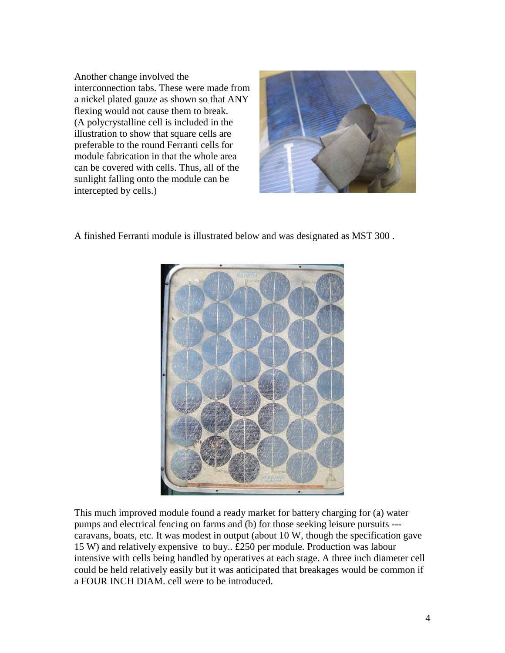Another change involved the interconnection tabs. These were made from a nickel plated gauze as shown so that ANY flexing would not cause them to break. (A polycrystalline cell is included in the illustration to show that square cells are preferable to the round Ferranti cells for module fabrication in that the whole area can be covered with cells. Thus, all of the sunlight falling onto the module can be intercepted by cells.)



A finished Ferranti module is illustrated below and was designated as MST 300 .



This much improved module found a ready market for battery charging for (a) water pumps and electrical fencing on farms and (b) for those seeking leisure pursuits -- caravans, boats, etc. It was modest in output (about 10 W, though the specification gave 15 W) and relatively expensive to buy.. £250 per module. Production was labour intensive with cells being handled by operatives at each stage. A three inch diameter cell could be held relatively easily but it was anticipated that breakages would be common if a FOUR INCH DIAM. cell were to be introduced.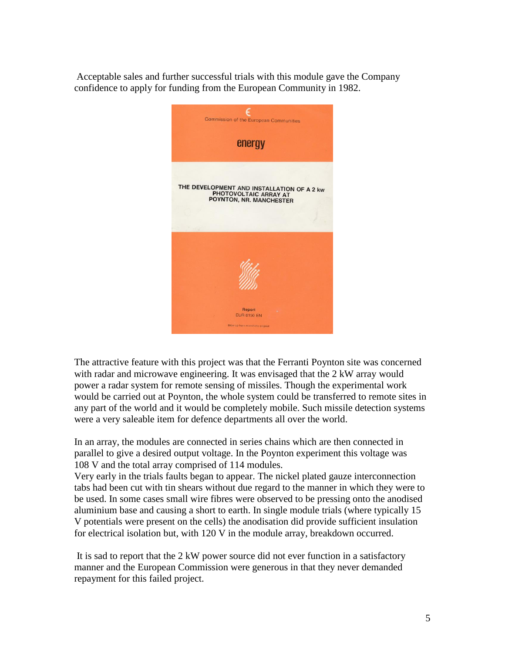Acceptable sales and further successful trials with this module gave the Company confidence to apply for funding from the European Community in 1982.



The attractive feature with this project was that the Ferranti Poynton site was concerned with radar and microwave engineering. It was envisaged that the 2 kW array would power a radar system for remote sensing of missiles. Though the experimental work would be carried out at Poynton, the whole system could be transferred to remote sites in any part of the world and it would be completely mobile. Such missile detection systems were a very saleable item for defence departments all over the world.

In an array, the modules are connected in series chains which are then connected in parallel to give a desired output voltage. In the Poynton experiment this voltage was 108 V and the total array comprised of 114 modules.

Very early in the trials faults began to appear. The nickel plated gauze interconnection tabs had been cut with tin shears without due regard to the manner in which they were to be used. In some cases small wire fibres were observed to be pressing onto the anodised aluminium base and causing a short to earth. In single module trials (where typically 15 V potentials were present on the cells) the anodisation did provide sufficient insulation for electrical isolation but, with 120 V in the module array, breakdown occurred.

It is sad to report that the 2 kW power source did not ever function in a satisfactory manner and the European Commission were generous in that they never demanded repayment for this failed project.